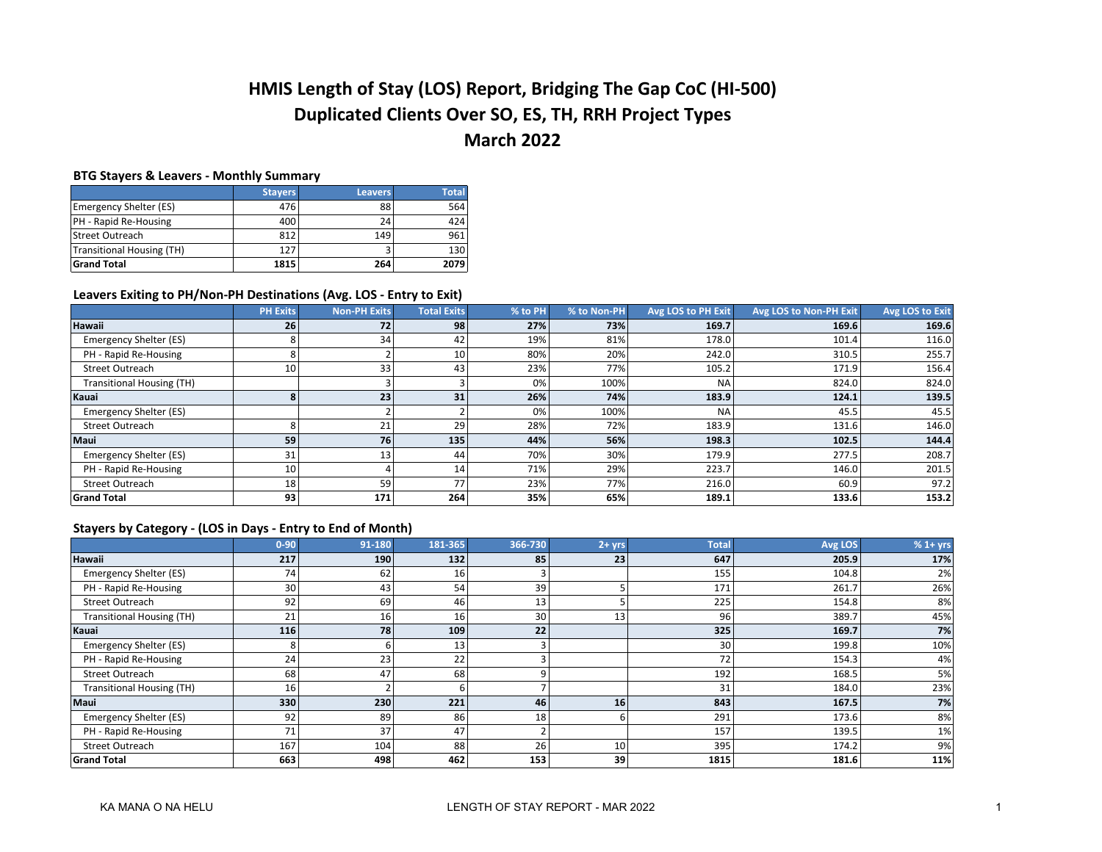# **HMIS Length of Stay (LOS) Report, Bridging The Gap CoC (HI-500) Duplicated Clients Over SO, ES, TH, RRH Project Types March 2022**

#### **BTG Stayers & Leavers - Monthly Summary**

|                               | <b>Stavers</b> | <b>Leavers</b> | <b>Total</b> |
|-------------------------------|----------------|----------------|--------------|
| <b>Emergency Shelter (ES)</b> | 476            | 88             | 564          |
| PH - Rapid Re-Housing         | 400            | 24             | 424          |
| Street Outreach               | 812            | 149            | 961          |
| Transitional Housing (TH)     | 127            |                | 130          |
| <b>Grand Total</b>            | 1815           | 264            | 2079         |

## **Leavers Exiting to PH/Non-PH Destinations (Avg. LOS - Entry to Exit)**

|                                  | <b>PH Exits</b> | <b>Non-PH Exits</b> | <b>Total Exits</b> | % to PH | % to Non-PH | Avg LOS to PH Exit | Avg LOS to Non-PH Exit | Avg LOS to Exit |
|----------------------------------|-----------------|---------------------|--------------------|---------|-------------|--------------------|------------------------|-----------------|
| Hawaii                           | 26              | 72                  | 98                 | 27%     | 73%         | 169.7              | 169.6                  | 169.6           |
| Emergency Shelter (ES)           |                 | 34                  | 42                 | 19%     | 81%         | 178.0              | 101.4                  | 116.0           |
| PH - Rapid Re-Housing            |                 |                     | 10                 | 80%     | 20%         | 242.0              | 310.5                  | 255.7           |
| <b>Street Outreach</b>           | 10              | 33                  | 43                 | 23%     | 77%         | 105.2              | 171.9                  | 156.4           |
| <b>Transitional Housing (TH)</b> |                 |                     |                    | 0%      | 100%        | <b>NA</b>          | 824.0                  | 824.0           |
| Kauai                            |                 | 23                  | 31                 | 26%     | 74%         | 183.9              | 124.1                  | 139.5           |
| Emergency Shelter (ES)           |                 |                     |                    | 0%      | 100%        | <b>NA</b>          | 45.5                   | 45.5            |
| <b>Street Outreach</b>           |                 | 21                  | 29                 | 28%     | 72%         | 183.9              | 131.6                  | 146.0           |
| <b>Maui</b>                      | 59              | 76                  | 135                | 44%     | 56%         | 198.3              | 102.5                  | 144.4           |
| Emergency Shelter (ES)           | 31              | 13                  | 44                 | 70%     | 30%         | 179.9              | 277.5                  | 208.7           |
| PH - Rapid Re-Housing            | 10              |                     | 14                 | 71%     | 29%         | 223.7              | 146.0                  | 201.5           |
| <b>Street Outreach</b>           | 18              | 59                  | 77                 | 23%     | 77%         | 216.0              | 60.9                   | 97.2            |
| <b>Grand Total</b>               | 93              | 171                 | 264                | 35%     | 65%         | 189.1              | 133.6                  | 153.2           |

## **Stayers by Category - (LOS in Days - Entry to End of Month)**

|                                  | $0 - 90$        | 91-180 | 181-365 | 366-730         | $2 + yrs$ | <b>Total</b> | Avg LOS | $% 1 + yrs$ |
|----------------------------------|-----------------|--------|---------|-----------------|-----------|--------------|---------|-------------|
| Hawaii                           | 217             | 190    | 132     | 85              | 23        | 647          | 205.9   | 17%         |
| Emergency Shelter (ES)           | 74              | 62     | 16      |                 |           | 155          | 104.8   | 2%          |
| PH - Rapid Re-Housing            | 30              | 43     | 54      | 39              |           | 171          | 261.7   | 26%         |
| <b>Street Outreach</b>           | 92              | 69     | 46      | 13              |           | 225          | 154.8   | 8%          |
| <b>Transitional Housing (TH)</b> | 21              | 16     | 16      | 30 <sub>1</sub> | 13        | 96           | 389.7   | 45%         |
| Kauai                            | 116             | 78     | 109     | 22              |           | 325          | 169.7   | 7%          |
| Emergency Shelter (ES)           |                 |        | 13      |                 |           | 30           | 199.8   | 10%         |
| PH - Rapid Re-Housing            | 24              | 23     | 22      |                 |           |              | 154.3   | 4%          |
| Street Outreach                  | 68              | 47     | 68      |                 |           | 192          | 168.5   | 5%          |
| <b>Transitional Housing (TH)</b> | 16 <sub>1</sub> |        |         |                 |           | 31           | 184.0   | 23%         |
| Maui                             | 330             | 230    | 221     | 46              | 16        | 843          | 167.5   | 7%          |
| Emergency Shelter (ES)           | 92              | 89     | 86      | 18 <sub>1</sub> | 6         | 291          | 173.6   | 8%          |
| PH - Rapid Re-Housing            | 71              | 37     | 47      |                 |           | 157          | 139.5   | 1%          |
| Street Outreach                  | 167             | 104    | 88      | 26              | 10        | 395          | 174.2   | 9%          |
| <b>Grand Total</b>               | 663             | 498    | 462     | 153             | 39        | 1815         | 181.6   | 11%         |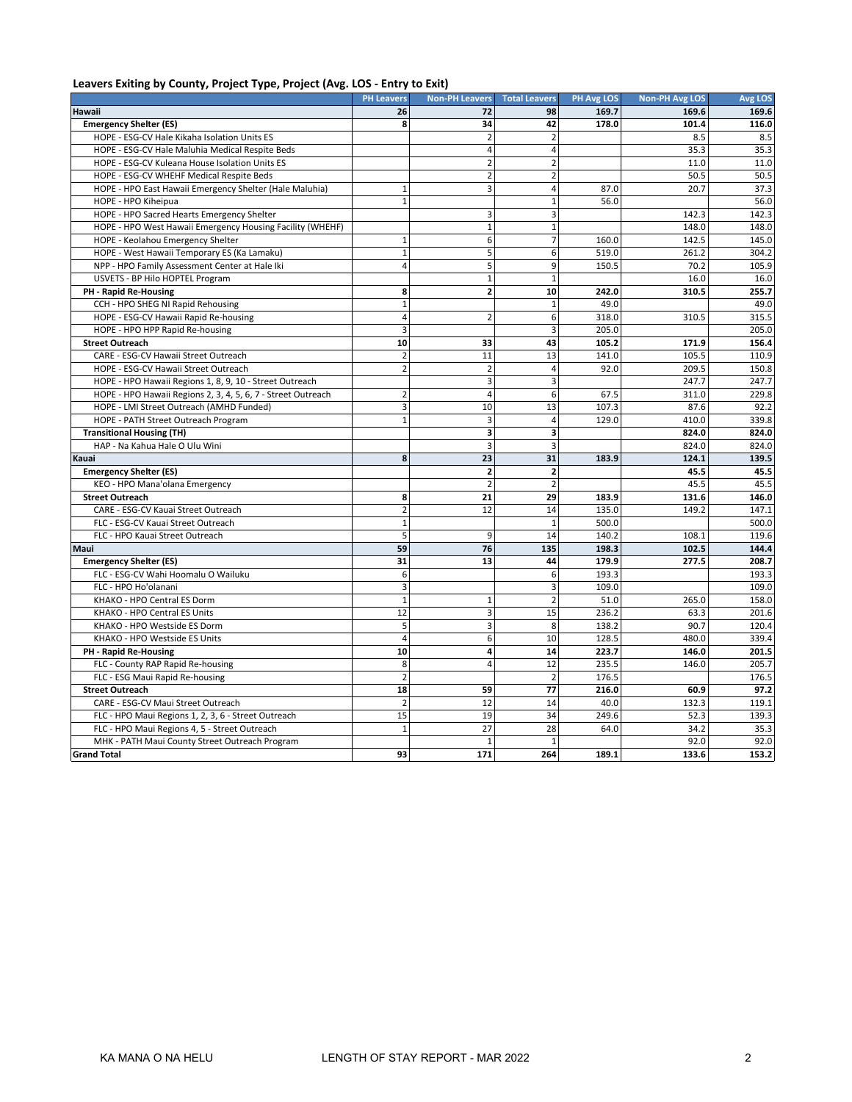## **Leavers Exiting by County, Project Type, Project (Avg. LOS - Entry to Exit)**

|                                                              | <b>PH Leavers</b> | <b>Non-PH Leavers</b> | <b>Total Leavers</b>    | <b>PH Avg LOS</b> | <b>Non-PH Avg LOS</b> | <b>Avg LOS</b> |
|--------------------------------------------------------------|-------------------|-----------------------|-------------------------|-------------------|-----------------------|----------------|
| Hawaii                                                       | 26                | 72                    | 98                      | 169.7             | 169.6                 | 169.6          |
| <b>Emergency Shelter (ES)</b>                                | 8                 | 34                    | 42                      | 178.0             | 101.4                 | 116.0          |
| HOPE - ESG-CV Hale Kikaha Isolation Units ES                 |                   | $\overline{2}$        | $\overline{2}$          |                   | 8.5                   | 8.5            |
| HOPE - ESG-CV Hale Maluhia Medical Respite Beds              |                   | $\overline{4}$        | $\overline{4}$          |                   | 35.3                  | 35.3           |
| HOPE - ESG-CV Kuleana House Isolation Units ES               |                   | $\overline{2}$        | $\overline{2}$          |                   | 11.0                  | 11.0           |
| HOPE - ESG-CV WHEHF Medical Respite Beds                     |                   | $\overline{2}$        | $\overline{2}$          |                   | 50.5                  | 50.5           |
| HOPE - HPO East Hawaii Emergency Shelter (Hale Maluhia)      | $1\,$             | 3                     | $\overline{4}$          | 87.0              | 20.7                  | 37.3           |
| HOPE - HPO Kiheipua                                          | $1\,$             |                       | $\mathbf{1}$            | 56.0              |                       | 56.0           |
| HOPE - HPO Sacred Hearts Emergency Shelter                   |                   | 3                     | 3                       |                   | 142.3                 | 142.3          |
| HOPE - HPO West Hawaii Emergency Housing Facility (WHEHF)    |                   | $\mathbf 1$           | $\mathbf 1$             |                   | 148.0                 | 148.0          |
| HOPE - Keolahou Emergency Shelter                            | $1\,$             | 6                     | $\overline{7}$          | 160.0             | 142.5                 | 145.0          |
| HOPE - West Hawaii Temporary ES (Ka Lamaku)                  | $\mathbf{1}$      | 5                     | 6                       | 519.0             | 261.2                 | 304.2          |
| NPP - HPO Family Assessment Center at Hale Iki               | $\overline{4}$    | 5                     | 9                       | 150.5             | 70.2                  | 105.9          |
| USVETS - BP Hilo HOPTEL Program                              |                   | $\mathbf 1$           | $\mathbf{1}$            |                   | 16.0                  | 16.0           |
| PH - Rapid Re-Housing                                        | 8                 | $\overline{2}$        | 10                      | 242.0             | 310.5                 | 255.7          |
| CCH - HPO SHEG NI Rapid Rehousing                            | $\mathbf{1}$      |                       | $\mathbf{1}$            | 49.0              |                       | 49.0           |
| HOPE - ESG-CV Hawaii Rapid Re-housing                        | $\overline{4}$    | $\overline{2}$        | 6                       | 318.0             | 310.5                 | 315.5          |
| HOPE - HPO HPP Rapid Re-housing                              | 3                 |                       | 3                       | 205.0             |                       | 205.0          |
| <b>Street Outreach</b>                                       | 10                | 33                    | 43                      | 105.2             | 171.9                 | 156.4          |
| CARE - ESG-CV Hawaii Street Outreach                         | $\overline{2}$    | 11                    | 13                      | 141.0             | 105.5                 | 110.9          |
| HOPE - ESG-CV Hawaii Street Outreach                         | $\overline{2}$    | $\overline{2}$        | $\overline{4}$          | 92.0              | 209.5                 | 150.8          |
| HOPE - HPO Hawaii Regions 1, 8, 9, 10 - Street Outreach      |                   | 3                     | 3                       |                   | 247.7                 | 247.7          |
| HOPE - HPO Hawaii Regions 2, 3, 4, 5, 6, 7 - Street Outreach | $\overline{2}$    | $\overline{4}$        | 6                       | 67.5              | 311.0                 | 229.8          |
| HOPE - LMI Street Outreach (AMHD Funded)                     | 3                 | 10                    | 13                      | 107.3             | 87.6                  | 92.2           |
| HOPE - PATH Street Outreach Program                          | $\mathbf{1}$      | 3                     | $\overline{4}$          | 129.0             | 410.0                 | 339.8          |
| <b>Transitional Housing (TH)</b>                             |                   | 3                     | $\overline{\mathbf{3}}$ |                   | 824.0                 | 824.0          |
| HAP - Na Kahua Hale O Ulu Wini                               |                   | 3                     | 3                       |                   | 824.0                 | 824.0          |
| Kauai                                                        | 8                 | 23                    | 31                      | 183.9             | 124.1                 | 139.5          |
| <b>Emergency Shelter (ES)</b>                                |                   | $\mathbf{z}$          | $\overline{\mathbf{2}}$ |                   | 45.5                  | 45.5           |
| KEO - HPO Mana'olana Emergency                               |                   | $\overline{2}$        | $\overline{2}$          |                   | 45.5                  | 45.5           |
| <b>Street Outreach</b>                                       | 8                 | 21                    | 29                      | 183.9             | 131.6                 | 146.0          |
| CARE - ESG-CV Kauai Street Outreach                          | $\overline{2}$    | 12                    | 14                      | 135.0             | 149.2                 | 147.1          |
| FLC - ESG-CV Kauai Street Outreach                           | $\mathbf{1}$      |                       | $\mathbf{1}$            | 500.0             |                       | 500.0          |
| FLC - HPO Kauai Street Outreach                              | 5                 | 9                     | 14                      | 140.2             | 108.1                 | 119.6          |
| Maui                                                         | 59                | 76                    | 135                     | 198.3             | 102.5                 | 144.4          |
| <b>Emergency Shelter (ES)</b>                                | 31                | 13                    | 44                      | 179.9             | 277.5                 | 208.7          |
| FLC - ESG-CV Wahi Hoomalu O Wailuku                          | 6                 |                       | 6                       | 193.3             |                       | 193.3          |
| FLC - HPO Ho'olanani                                         | 3                 |                       | 3                       | 109.0             |                       | 109.0          |
| KHAKO - HPO Central ES Dorm                                  | $\mathbf{1}$      | $\mathbf{1}$          | $\overline{2}$          | 51.0              | 265.0                 | 158.0          |
| KHAKO - HPO Central ES Units                                 | 12                | 3                     | 15                      | 236.2             | 63.3                  | 201.6          |
| KHAKO - HPO Westside ES Dorm                                 | 5                 | 3                     | 8                       | 138.2             | 90.7                  | 120.4          |
| KHAKO - HPO Westside ES Units                                | $\overline{a}$    | 6                     | 10                      | 128.5             | 480.0                 | 339.4          |
| PH - Rapid Re-Housing                                        | 10                | 4                     | 14                      | 223.7             | 146.0                 | 201.5          |
| FLC - County RAP Rapid Re-housing                            | 8                 | $\overline{4}$        | 12                      | 235.5             | 146.0                 | 205.7          |
| FLC - ESG Maui Rapid Re-housing                              | $\overline{2}$    |                       | $\overline{2}$          | 176.5             |                       | 176.5          |
| <b>Street Outreach</b>                                       | 18                | 59                    | 77                      | 216.0             | 60.9                  | 97.2           |
| CARE - ESG-CV Maui Street Outreach                           | $\overline{2}$    | 12                    | 14                      | 40.0              | 132.3                 | 119.1          |
| FLC - HPO Maui Regions 1, 2, 3, 6 - Street Outreach          | 15                | 19                    | 34                      | 249.6             | 52.3                  | 139.3          |
| FLC - HPO Maui Regions 4, 5 - Street Outreach                | $\mathbf{1}$      | 27                    | 28                      | 64.0              | 34.2                  | 35.3           |
| MHK - PATH Maui County Street Outreach Program               |                   | $\mathbf{1}$          | $\mathbf{1}$            |                   | 92.0                  | 92.0           |
| <b>Grand Total</b>                                           | 93                | 171                   | 264                     | 189.1             | 133.6                 | 153.2          |
|                                                              |                   |                       |                         |                   |                       |                |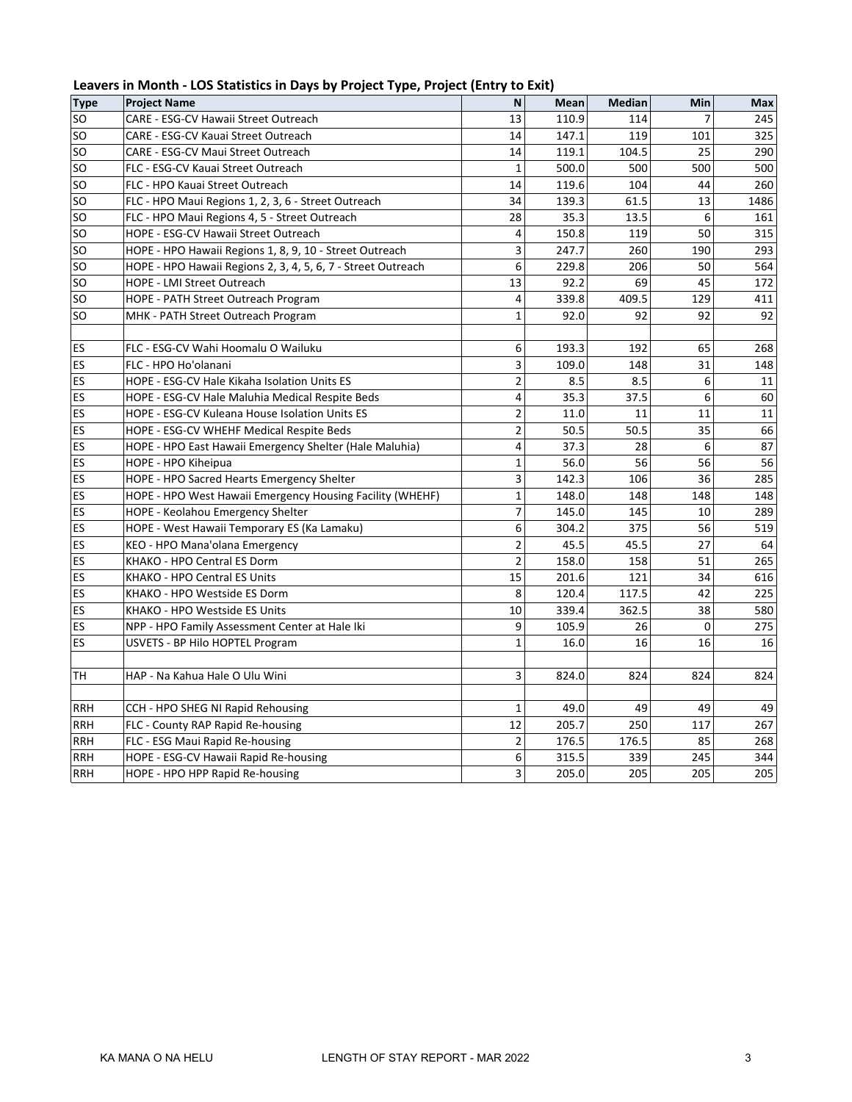| Leavers in Month - LOS Statistics in Days by Project Type, Project (Entry to Exit) |  |  |
|------------------------------------------------------------------------------------|--|--|
|------------------------------------------------------------------------------------|--|--|

| <b>Type</b>   | <b>Project Name</b>                                          | N              | Mean  | <b>Median</b> | Min | <b>Max</b> |
|---------------|--------------------------------------------------------------|----------------|-------|---------------|-----|------------|
| <b>SO</b>     | CARE - ESG-CV Hawaii Street Outreach                         | 13             | 110.9 | 114           | 7   | 245        |
| <b>SO</b>     | CARE - ESG-CV Kauai Street Outreach                          | 14             | 147.1 | 119           | 101 | 325        |
| <sub>so</sub> | CARE - ESG-CV Maui Street Outreach                           | 14             | 119.1 | 104.5         | 25  | 290        |
| SO            | FLC - ESG-CV Kauai Street Outreach                           | $\mathbf{1}$   | 500.0 | 500           | 500 | 500        |
| <b>SO</b>     | FLC - HPO Kauai Street Outreach                              | 14             | 119.6 | 104           | 44  | 260        |
| SO            | FLC - HPO Maui Regions 1, 2, 3, 6 - Street Outreach          | 34             | 139.3 | 61.5          | 13  | 1486       |
| <b>SO</b>     | FLC - HPO Maui Regions 4, 5 - Street Outreach                | 28             | 35.3  | 13.5          | 6   | 161        |
| <b>SO</b>     | HOPE - ESG-CV Hawaii Street Outreach                         | 4              | 150.8 | 119           | 50  | 315        |
| <b>SO</b>     | HOPE - HPO Hawaii Regions 1, 8, 9, 10 - Street Outreach      | 3              | 247.7 | 260           | 190 | 293        |
| <b>SO</b>     | HOPE - HPO Hawaii Regions 2, 3, 4, 5, 6, 7 - Street Outreach | 6              | 229.8 | 206           | 50  | 564        |
| <b>SO</b>     | HOPE - LMI Street Outreach                                   | 13             | 92.2  | 69            | 45  | 172        |
| SO            | HOPE - PATH Street Outreach Program                          | 4              | 339.8 | 409.5         | 129 | 411        |
| <b>SO</b>     | MHK - PATH Street Outreach Program                           | $\mathbf{1}$   | 92.0  | 92            | 92  | 92         |
| ES            | FLC - ESG-CV Wahi Hoomalu O Wailuku                          | 6              | 193.3 | 192           | 65  | 268        |
| ES            | FLC - HPO Ho'olanani                                         | 3              | 109.0 | 148           | 31  | 148        |
| ES            | HOPE - ESG-CV Hale Kikaha Isolation Units ES                 | $\overline{2}$ | 8.5   | 8.5           | 6   | 11         |
| ES            | HOPE - ESG-CV Hale Maluhia Medical Respite Beds              | 4              | 35.3  | 37.5          | 6   | 60         |
| ES            | HOPE - ESG-CV Kuleana House Isolation Units ES               | $\overline{c}$ | 11.0  | 11            | 11  | 11         |
| ES            | HOPE - ESG-CV WHEHF Medical Respite Beds                     | 2              | 50.5  | 50.5          | 35  | 66         |
| ES            | HOPE - HPO East Hawaii Emergency Shelter (Hale Maluhia)      | 4              | 37.3  | 28            | 6   | 87         |
| ES            | HOPE - HPO Kiheipua                                          | 1              | 56.0  | 56            | 56  | 56         |
| ES            | HOPE - HPO Sacred Hearts Emergency Shelter                   | 3              | 142.3 | 106           | 36  | 285        |
| ES            | HOPE - HPO West Hawaii Emergency Housing Facility (WHEHF)    | $\mathbf{1}$   | 148.0 | 148           | 148 | 148        |
| ES            | HOPE - Keolahou Emergency Shelter                            | 7              | 145.0 | 145           | 10  | 289        |
| ES            | HOPE - West Hawaii Temporary ES (Ka Lamaku)                  | 6              | 304.2 | 375           | 56  | 519        |
| ES            | KEO - HPO Mana'olana Emergency                               | 2              | 45.5  | 45.5          | 27  | 64         |
| ES            | KHAKO - HPO Central ES Dorm                                  | $\overline{2}$ | 158.0 | 158           | 51  | 265        |
| ES            | KHAKO - HPO Central ES Units                                 | 15             | 201.6 | 121           | 34  | 616        |
| ES            | KHAKO - HPO Westside ES Dorm                                 | 8              | 120.4 | 117.5         | 42  | 225        |
| ES            | KHAKO - HPO Westside ES Units                                | 10             | 339.4 | 362.5         | 38  | 580        |
| ES            | NPP - HPO Family Assessment Center at Hale Iki               | 9              | 105.9 | 26            | 0   | 275        |
| ES            | USVETS - BP Hilo HOPTEL Program                              | $\mathbf{1}$   | 16.0  | 16            | 16  | 16         |
|               |                                                              |                |       |               |     |            |
| TH            | HAP - Na Kahua Hale O Ulu Wini                               | 3              | 824.0 | 824           | 824 | 824        |
| <b>RRH</b>    | CCH - HPO SHEG NI Rapid Rehousing                            | 1              | 49.0  | 49            | 49  | 49         |
| <b>RRH</b>    | FLC - County RAP Rapid Re-housing                            | 12             | 205.7 | 250           | 117 | 267        |
| <b>RRH</b>    | FLC - ESG Maui Rapid Re-housing                              | $\overline{2}$ | 176.5 | 176.5         | 85  | 268        |
| <b>RRH</b>    | HOPE - ESG-CV Hawaii Rapid Re-housing                        | 6              | 315.5 | 339           | 245 | 344        |
| <b>RRH</b>    | HOPE - HPO HPP Rapid Re-housing                              | 3              | 205.0 | 205           | 205 | 205        |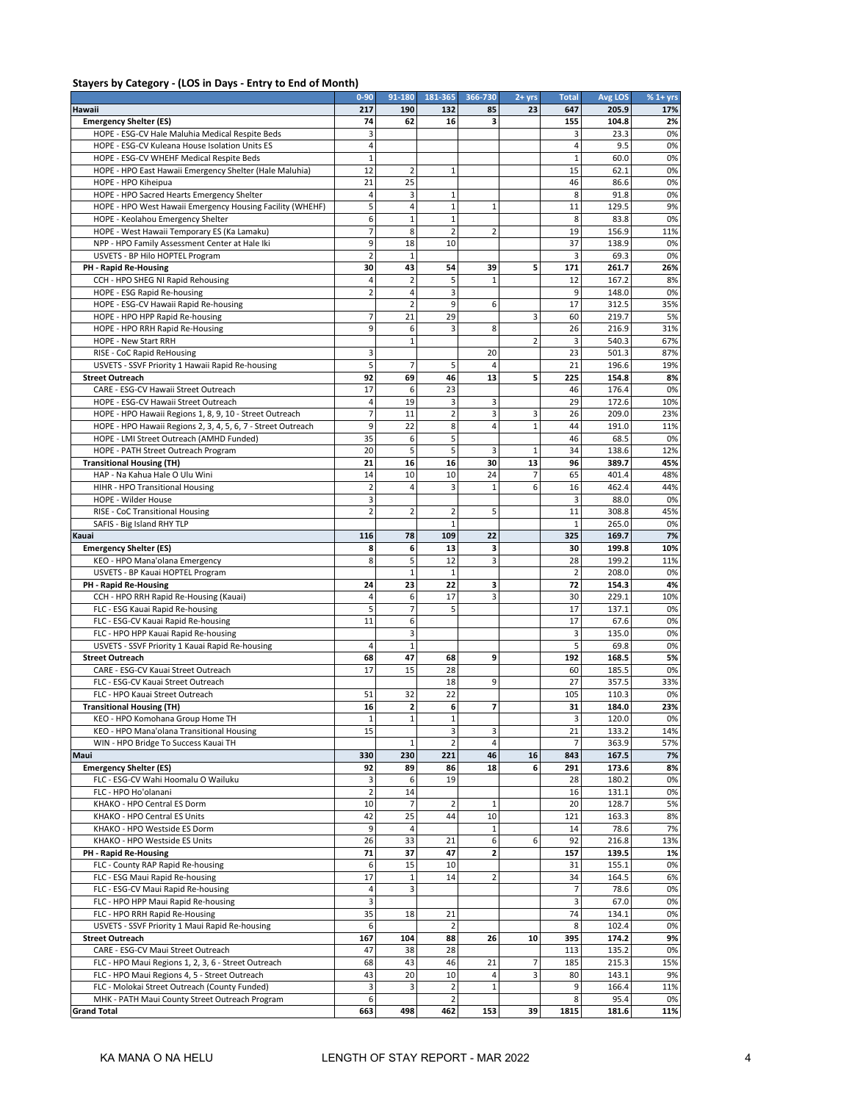#### **Stayers by Category - (LOS in Days - Entry to End of Month)**

|                                                                                                                         | $0 - 90$            | 91-180                  | 181-365             | 366-730        | $2 + yrs$      | <b>Total</b>   | Avg LOS        | $% 1 + yrs$ |
|-------------------------------------------------------------------------------------------------------------------------|---------------------|-------------------------|---------------------|----------------|----------------|----------------|----------------|-------------|
| Hawaii                                                                                                                  | 217                 | 190                     | 132                 | 85             | 23             | 647            | 205.9          | 17%         |
| <b>Emergency Shelter (ES)</b>                                                                                           | 74                  | 62                      | 16                  | з              |                | 155            | 104.8          | 2%          |
| HOPE - ESG-CV Hale Maluhia Medical Respite Beds                                                                         | 3                   |                         |                     |                |                | 3              | 23.3           | 0%          |
| HOPE - ESG-CV Kuleana House Isolation Units ES                                                                          | 4                   |                         |                     |                |                | 4              | 9.5            | 0%          |
| HOPE - ESG-CV WHEHF Medical Respite Beds                                                                                | 1                   |                         |                     |                |                | $\mathbf 1$    | 60.0           | 0%          |
| HOPE - HPO East Hawaii Emergency Shelter (Hale Maluhia)                                                                 | 12                  | $\overline{2}$          | $\mathbf{1}$        |                |                | 15             | 62.1           | 0%          |
| HOPE - HPO Kiheipua                                                                                                     | 21                  | 25                      |                     |                |                | 46             | 86.6           | 0%          |
| HOPE - HPO Sacred Hearts Emergency Shelter                                                                              | 4                   | 3                       | 1                   |                |                | 8              | 91.8           | 0%          |
| HOPE - HPO West Hawaii Emergency Housing Facility (WHEHF)                                                               | 5                   | 4                       | 1                   | 1              |                | 11             | 129.5          | 9%          |
| HOPE - Keolahou Emergency Shelter                                                                                       | 6                   | $\mathbf{1}$            | $\mathbf 1$         |                |                | 8              | 83.8           | 0%          |
| HOPE - West Hawaii Temporary ES (Ka Lamaku)                                                                             | 7                   | 8                       | $\overline{2}$      | $\overline{2}$ |                | 19             | 156.9          | 11%         |
| NPP - HPO Family Assessment Center at Hale Iki                                                                          | 9                   | 18                      | 10                  |                |                | 37             | 138.9          | 0%          |
| USVETS - BP Hilo HOPTEL Program                                                                                         | $\overline{2}$      | $\mathbf{1}$            |                     |                |                | 3              | 69.3           | 0%          |
| PH - Rapid Re-Housing                                                                                                   | 30                  | 43                      | 54                  | 39             | 5              | 171            | 261.7          | 26%         |
| CCH - HPO SHEG NI Rapid Rehousing                                                                                       | 4<br>$\overline{2}$ | $\overline{2}$<br>4     | 5<br>3              | $\mathbf{1}$   |                | 12<br>9        | 167.2          | 8%          |
| HOPE - ESG Rapid Re-housing                                                                                             |                     | $\overline{2}$          | 9                   |                |                | 17             | 148.0<br>312.5 | 0%          |
| HOPE - ESG-CV Hawaii Rapid Re-housing                                                                                   |                     | 21                      | 29                  | 6              | 3              | 60             | 219.7          | 35%         |
| HOPE - HPO HPP Rapid Re-housing                                                                                         | 7<br>9              | 6                       | 3                   | 8              |                | 26             | 216.9          | 5%<br>31%   |
| HOPE - HPO RRH Rapid Re-Housing                                                                                         |                     | $\mathbf{1}$            |                     |                | $\overline{2}$ | 3              | 540.3          |             |
| HOPE - New Start RRH<br>RISE - CoC Rapid ReHousing                                                                      | 3                   |                         |                     | 20             |                | 23             | 501.3          | 67%<br>87%  |
|                                                                                                                         |                     |                         |                     | $\overline{4}$ |                | 21             | 196.6          |             |
| USVETS - SSVF Priority 1 Hawaii Rapid Re-housing<br><b>Street Outreach</b>                                              | 5<br>92             | 7<br>69                 | 5<br>46             | 13             | 5              | 225            | 154.8          | 19%<br>8%   |
| CARE - ESG-CV Hawaii Street Outreach                                                                                    | 17                  | 6                       | 23                  |                |                | 46             | 176.4          | 0%          |
| HOPE - ESG-CV Hawaii Street Outreach                                                                                    | 4                   | 19                      |                     | 3              |                | 29             | 172.6          | 10%         |
|                                                                                                                         | 7                   | 11                      | 3<br>$\overline{2}$ | 3              | 3              | 26             | 209.0          | 23%         |
| HOPE - HPO Hawaii Regions 1, 8, 9, 10 - Street Outreach<br>HOPE - HPO Hawaii Regions 2, 3, 4, 5, 6, 7 - Street Outreach | 9                   | 22                      | 8                   | 4              | $\mathbf{1}$   | 44             | 191.0          | 11%         |
| HOPE - LMI Street Outreach (AMHD Funded)                                                                                | 35                  | 6                       | 5                   |                |                | 46             | 68.5           | 0%          |
| HOPE - PATH Street Outreach Program                                                                                     | 20                  | 5                       | 5                   | 3              | 1              | 34             | 138.6          | 12%         |
| <b>Transitional Housing (TH)</b>                                                                                        | 21                  | 16                      | 16                  | 30             | 13             | 96             | 389.7          | 45%         |
| HAP - Na Kahua Hale O Ulu Wini                                                                                          | 14                  | 10                      | 10                  | 24             | 7              | 65             | 401.4          | 48%         |
| HIHR - HPO Transitional Housing                                                                                         | $\overline{2}$      | $\overline{4}$          | 3                   | 1              | 6              | 16             | 462.4          | 44%         |
| HOPE - Wilder House                                                                                                     | 3                   |                         |                     |                |                | 3              | 88.0           | 0%          |
| RISE - CoC Transitional Housing                                                                                         | 2                   | $\overline{2}$          | 2                   | 5              |                | 11             | 308.8          | 45%         |
| SAFIS - Big Island RHY TLP                                                                                              |                     |                         | $\mathbf{1}$        |                |                | $\mathbf{1}$   | 265.0          | 0%          |
| Kauai                                                                                                                   | 116                 | 78                      | 109                 | 22             |                | 325            | 169.7          | 7%          |
| <b>Emergency Shelter (ES)</b>                                                                                           | 8                   | 6                       | 13                  | 3              |                | 30             | 199.8          | 10%         |
| KEO - HPO Mana'olana Emergency                                                                                          | 8                   | 5                       | 12                  | 3              |                | 28             | 199.2          | 11%         |
| USVETS - BP Kauai HOPTEL Program                                                                                        |                     | $\mathbf{1}$            | 1                   |                |                | $\overline{2}$ | 208.0          | 0%          |
| PH - Rapid Re-Housing                                                                                                   | 24                  | 23                      | 22                  | 3              |                | 72             | 154.3          | 4%          |
| CCH - HPO RRH Rapid Re-Housing (Kauai)                                                                                  | 4                   | 6                       | 17                  | 3              |                | 30             | 229.1          | 10%         |
| FLC - ESG Kauai Rapid Re-housing                                                                                        | 5                   | 7                       | 5                   |                |                | 17             | 137.1          | 0%          |
| FLC - ESG-CV Kauai Rapid Re-housing                                                                                     | 11                  | 6                       |                     |                |                | 17             | 67.6           | 0%          |
| FLC - HPO HPP Kauai Rapid Re-housing                                                                                    |                     | 3                       |                     |                |                | 3              | 135.0          | 0%          |
| USVETS - SSVF Priority 1 Kauai Rapid Re-housing                                                                         | 4                   | $\mathbf{1}$            |                     |                |                | 5              | 69.8           | 0%          |
| <b>Street Outreach</b>                                                                                                  | 68                  | 47                      | 68                  | 9              |                | 192            | 168.5          | 5%          |
| CARE - ESG-CV Kauai Street Outreach                                                                                     | 17                  | 15                      | 28                  |                |                | 60             | 185.5          | 0%          |
| FLC - ESG-CV Kauai Street Outreach                                                                                      |                     |                         | 18                  | 9              |                | 27             | 357.5          | 33%         |
| FLC - HPO Kauai Street Outreach                                                                                         | 51                  | 32                      | 22                  |                |                | 105            | 110.3          | 0%          |
| <b>Transitional Housing (TH)</b>                                                                                        | 16                  | $\overline{\mathbf{2}}$ | 6                   | 7              |                | 31             | 184.0          | 23%         |
| KEO - HPO Komohana Group Home TH                                                                                        | 1                   | 1                       | 1                   |                |                | 3              | 120.0          | 0%          |
| KEO - HPO Mana'olana Transitional Housing                                                                               | 15                  |                         | 3                   | 3              |                | 21             | 133.2          | 14%         |
| WIN - HPO Bridge To Success Kauai TH                                                                                    |                     | 1                       | 2                   | 4              |                | 7              | 363.9          | 57%         |
| Maui                                                                                                                    | 330                 | 230                     | 221                 | 46             | 16             | 843            | 167.5          | 7%          |
| <b>Emergency Shelter (ES)</b>                                                                                           | 92                  | 89                      | 86                  | 18             | 6              | 291            | 173.6          | 8%          |
| FLC - ESG-CV Wahi Hoomalu O Wailuku                                                                                     | 3                   | 6                       | 19                  |                |                | 28             | 180.2          | 0%          |
| FLC - HPO Ho'olanani                                                                                                    | $\overline{2}$      | 14                      |                     |                |                | 16             | 131.1          | 0%          |
| KHAKO - HPO Central ES Dorm                                                                                             | 10                  |                         | 2                   | $\mathbf{1}$   |                | 20             | 128.7          | 5%          |
| KHAKO - HPO Central ES Units                                                                                            | 42                  | 25                      | 44                  | 10             |                | 121            | 163.3          | 8%          |
| KHAKO - HPO Westside ES Dorm                                                                                            | 9                   | $\overline{4}$          |                     | 1              |                | 14             | 78.6           | 7%          |
| KHAKO - HPO Westside ES Units                                                                                           | 26                  | 33                      | 21                  | 6              | 6              | 92             | 216.8          | 13%         |
| PH - Rapid Re-Housing                                                                                                   | 71                  | 37                      | 47                  | 2              |                | 157            | 139.5          | 1%          |
| FLC - County RAP Rapid Re-housing                                                                                       | 6                   | 15                      | 10                  |                |                | 31             | 155.1          | 0%          |
| FLC - ESG Maui Rapid Re-housing                                                                                         | 17                  | 1                       | 14                  | 2              |                | 34             | 164.5          | 6%          |
| FLC - ESG-CV Maui Rapid Re-housing                                                                                      | 4                   | 3                       |                     |                |                | 7              | 78.6           | 0%          |
| FLC - HPO HPP Maui Rapid Re-housing                                                                                     | 3                   |                         |                     |                |                | 3              | 67.0           | 0%          |
| FLC - HPO RRH Rapid Re-Housing                                                                                          | 35                  | 18                      | 21                  |                |                | 74             | 134.1          | 0%          |
| USVETS - SSVF Priority 1 Maui Rapid Re-housing                                                                          | 6                   |                         | $\overline{2}$      |                |                | 8              | 102.4          | 0%          |
| <b>Street Outreach</b>                                                                                                  | 167                 | 104                     | 88                  | 26             | 10             | 395            | 174.2          | 9%          |
| CARE - ESG-CV Maui Street Outreach                                                                                      | 47                  | 38                      | 28                  |                |                | 113            | 135.2          | 0%          |
| FLC - HPO Maui Regions 1, 2, 3, 6 - Street Outreach                                                                     | 68                  | 43                      | 46                  | 21             | 7              | 185            | 215.3          | 15%         |
| FLC - HPO Maui Regions 4, 5 - Street Outreach                                                                           | 43                  | 20                      | 10                  |                | 3              | 80             | 143.1          | 9%          |
| FLC - Molokai Street Outreach (County Funded)                                                                           | 3                   | 3                       | $\overline{2}$      | 1              |                | 9              | 166.4          | 11%         |
| MHK - PATH Maui County Street Outreach Program                                                                          | 6                   |                         | 2                   |                |                | 8              | 95.4           | 0%          |
| <b>Grand Total</b>                                                                                                      | 663                 | 498                     | 462                 | 153            | 39             | 1815           | 181.6          | 11%         |